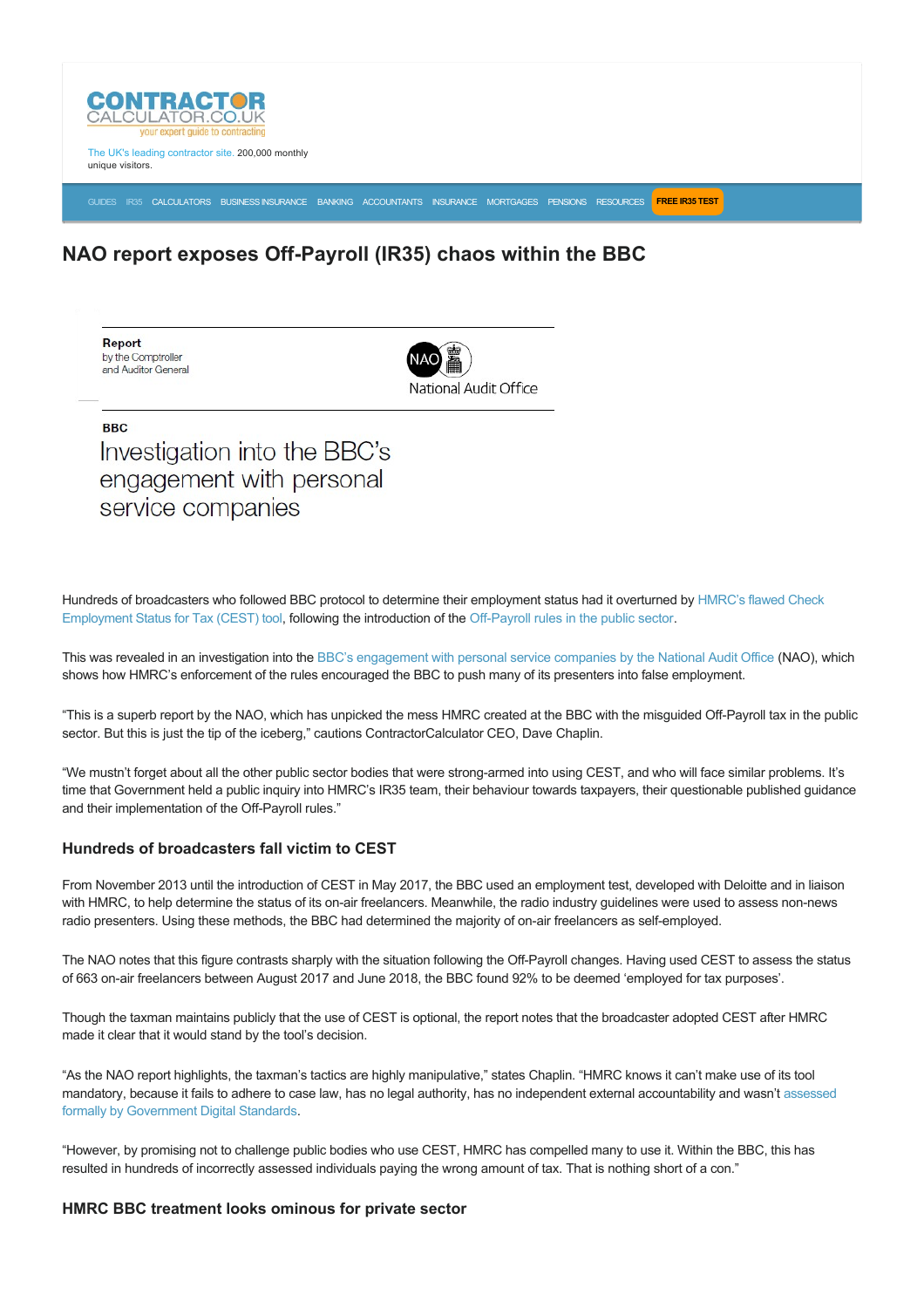

The UK's leading contractor site. 200,000 monthly unique visitors.

[GUIDES](https://www.contractorcalculator.co.uk/articles.aspx) [IR35](https://www.contractorcalculator.co.uk/ir35.aspx) [CALCULATORS](https://www.contractorcalculator.co.uk/calculators.aspx) [BUSINESS INSURANCE](https://www.contractorcalculator.co.uk/contractor_insurances.aspx) [BANKING](https://www.contractorcalculator.co.uk/contractor_banking.aspx) [ACCOUNTANTS](https://www.contractorcalculator.co.uk/contractor_accountant_services.aspx) [INSURANCE](https://www.contractorcalculator.co.uk/insurance.aspx) [MORTGAGES](https://www.contractorcalculator.co.uk/contractor_mortgages.aspx) [PENSIONS](https://www.contractorcalculator.co.uk/contractor_pensions.aspx) [RESOURCES](https://www.contractorcalculator.co.uk/contractor_resources.aspx) **[FREE IR35 TEST](https://www.ir35testing.co.uk/TakeTheTest)**

## **NAO report exposes Off-Payroll (IR35) chaos within the BBC**

Report by the Comptroller and Auditor General



**BBC** Investigation into the BBC's engagement with personal service companies

[Hundreds of broadcasters who followed BBC protocol to determine their employment status had it overturned by HMRC's flawed Check](https://www.contractorcalculator.co.uk/cest_reasonable_care_ex_hmrc_tax_inspector_544010_news.aspx) Employment Status for Tax (CEST) tool, following the introduction of the Off-Payroll rules in the public sector.

This was revealed in an investigation into the [BBC's engagement with personal service companies by the National Audit Office](https://www.nao.org.uk/report/investigation-into-the-bbcs-engagement-with-personal-service-companies/) (NAO), which shows how HMRC's enforcement of the rules encouraged the BBC to push many of its presenters into false employment.

"This is a superb report by the NAO, which has unpicked the mess HMRC created at the BBC with the misquided Off-Payroll tax in the public sector. But this is just the tip of the iceberg," cautions ContractorCalculator CEO, Dave Chaplin.

"We mustn't forget about all the other public sector bodies that were strong-armed into using CEST, and who will face similar problems. It's time that Government held a public inquiry into HMRC's IR35 team, their behaviour towards taxpayers, their questionable published guidance and their implementation of the Off-Payroll rules."

## **Hundreds of broadcasters fall victim to CEST**

From November 2013 until the introduction of CEST in May 2017, the BBC used an employment test, developed with Deloitte and in liaison with HMRC, to help determine the status of its on-air freelancers. Meanwhile, the radio industry guidelines were used to assess non-news radio presenters. Using these methods, the BBC had determined the majority of on-air freelancers as self-employed.

The NAO notes that this figure contrasts sharply with the situation following the Off-Payroll changes. Having used CEST to assess the status of 663 on-air freelancers between August 2017 and June 2018, the BBC found 92% to be deemed 'employed for tax purposes'.

Though the taxman maintains publicly that the use of CEST is optional, the report notes that the broadcaster adopted CEST after HMRC made it clear that it would stand by the tool's decision.

"As the NAO report highlights, the taxman's tactics are highly manipulative," states Chaplin. "HMRC knows it can't make use of its tool [mandatory, because it fails to adhere to case law, has no legal authority, has no independent external accountability and wasn't assessed](https://www.contractorcalculator.co.uk/cest_formally_assessed_governments_standards_foi_543810_news.aspx) formally by Government Digital Standards.

"However, by promising not to challenge public bodies who use CEST, HMRC has compelled many to use it. Within the BBC, this has resulted in hundreds of incorrectly assessed individuals paying the wrong amount of tax. That is nothing short of a con."

## **HMRC BBC treatment looks ominous for private sector**